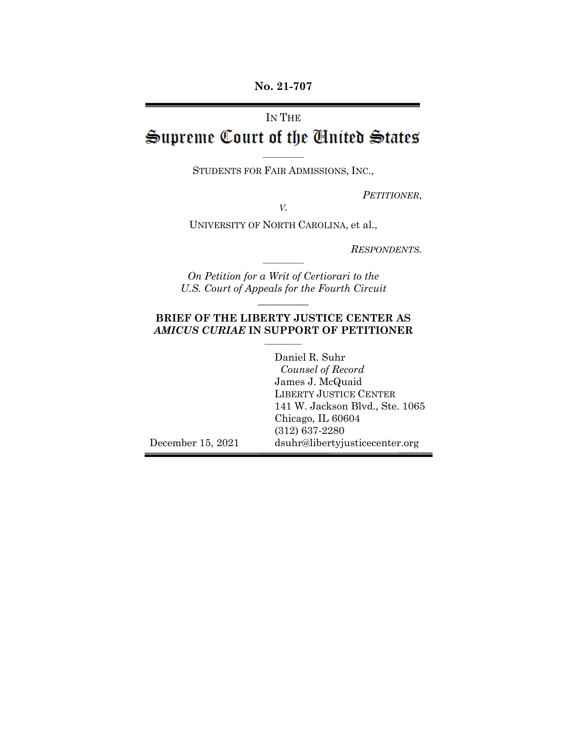**No. 21-707**

# IN THE

# Supreme Court of the United States

 $\overline{\phantom{a}}$ STUDENTS FOR FAIR ADMISSIONS, INC.,

*PETITIONER*,

*V.*

UNIVERSITY OF NORTH CAROLINA, et al.,

*RESPONDENTS.*

*On Petition for a Writ of Certiorari to the U.S. Court of Appeals for the Fourth Circuit*  $\frac{1}{2}$ 

 $\overline{\phantom{a}}$ 

#### **BRIEF OF THE LIBERTY JUSTICE CENTER AS**  *AMICUS CURIAE* **IN SUPPORT OF PETITIONER**  $\frac{1}{2}$

December 15, 2021 Daniel R. Suhr *Counsel of Record* James J. McQuaid LIBERTY JUSTICE CENTER 141 W. Jackson Blvd., Ste. 1065 Chicago, IL 60604 (312) 637-2280 dsuhr@libertyjusticecenter.org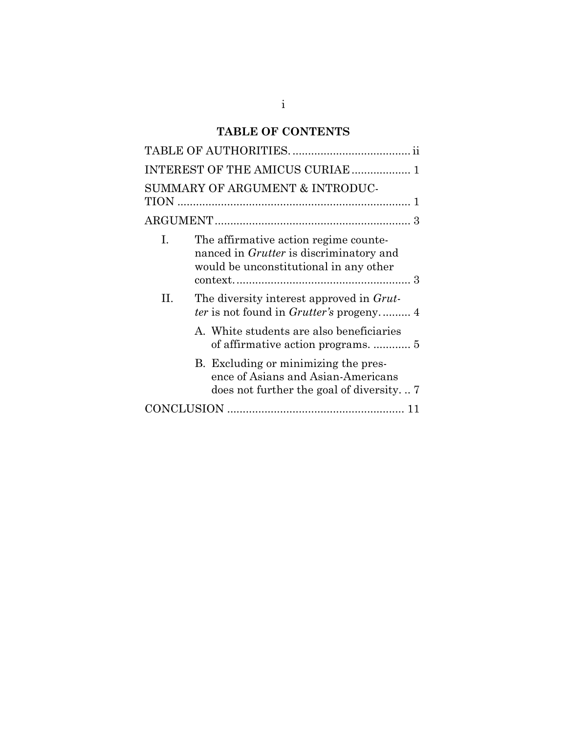# **TABLE OF CONTENTS**

|              | INTEREST OF THE AMICUS CURIAE  1                                                                                                  |
|--------------|-----------------------------------------------------------------------------------------------------------------------------------|
|              | SUMMARY OF ARGUMENT & INTRODUC-                                                                                                   |
|              |                                                                                                                                   |
| $\mathbf{L}$ | The affirmative action regime counte-<br>nanced in <i>Grutter</i> is discriminatory and<br>would be unconstitutional in any other |
| H.           | The diversity interest approved in Grut-<br><i>ter</i> is not found in <i>Grutter's</i> progeny 4                                 |
|              | A. White students are also beneficiaries                                                                                          |
|              | B. Excluding or minimizing the pres-<br>ence of Asians and Asian-Americans<br>does not further the goal of diversity              |
|              |                                                                                                                                   |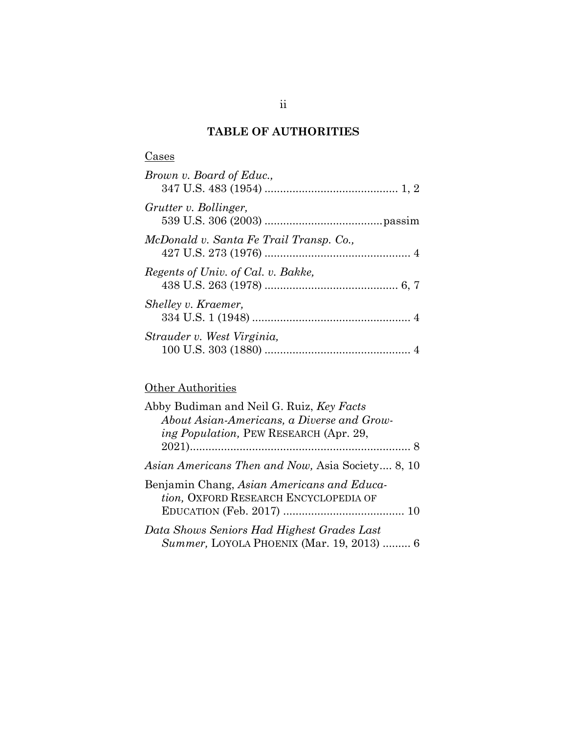# **TABLE OF AUTHORITIES**

| Brown v. Board of Educ.,                |  |
|-----------------------------------------|--|
| Grutter v. Bollinger,                   |  |
| McDonald v. Santa Fe Trail Transp. Co., |  |
| Regents of Univ. of Cal. v. Bakke,      |  |
| Shelley v. Kraemer,                     |  |
| Strauder v. West Virginia,              |  |

# **Other Authorities**

| Abby Budiman and Neil G. Ruiz, Key Facts                                            |
|-------------------------------------------------------------------------------------|
| About Asian-Americans, a Diverse and Grow-                                          |
| <i>ing Population</i> , PEW RESEARCH (Apr. 29,                                      |
|                                                                                     |
| Asian Americans Then and Now, Asia Society 8, 10                                    |
| Benjamin Chang, Asian Americans and Educa-<br>tion, OXFORD RESEARCH ENCYCLOPEDIA OF |
|                                                                                     |
| Data Shows Seniors Had Highest Grades Last                                          |
| Summer, LOYOLA PHOENIX (Mar. 19, 2013)  6                                           |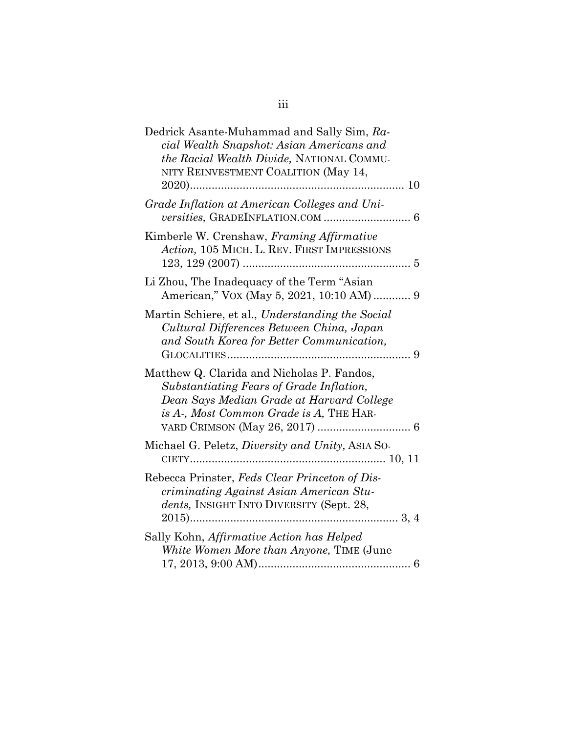| Dedrick Asante-Muhammad and Sally Sim, Ra-<br>cial Wealth Snapshot: Asian Americans and<br>the Racial Wealth Divide, NATIONAL COMMU-<br>NITY REINVESTMENT COALITION (May 14,   |
|--------------------------------------------------------------------------------------------------------------------------------------------------------------------------------|
| Grade Inflation at American Colleges and Uni-                                                                                                                                  |
| Kimberle W. Crenshaw, Framing Affirmative<br>Action, 105 MICH. L. REV. FIRST IMPRESSIONS                                                                                       |
| Li Zhou, The Inadequacy of the Term "Asian<br>American," VOX (May 5, 2021, 10:10 AM) 9                                                                                         |
| Martin Schiere, et al., Understanding the Social<br>Cultural Differences Between China, Japan<br>and South Korea for Better Communication,                                     |
| Matthew Q. Clarida and Nicholas P. Fandos,<br>Substantiating Fears of Grade Inflation,<br>Dean Says Median Grade at Harvard College<br>is A-, Most Common Grade is A, THE HAR- |
| Michael G. Peletz, <i>Diversity and Unity</i> , ASIA SO-                                                                                                                       |
| Rebecca Prinster, Feds Clear Princeton of Dis-<br>criminating Against Asian American Stu-<br>dents, INSIGHT INTO DIVERSITY (Sept. 28,                                          |
| Sally Kohn, Affirmative Action has Helped<br>White Women More than Anyone, TIME (June                                                                                          |

iii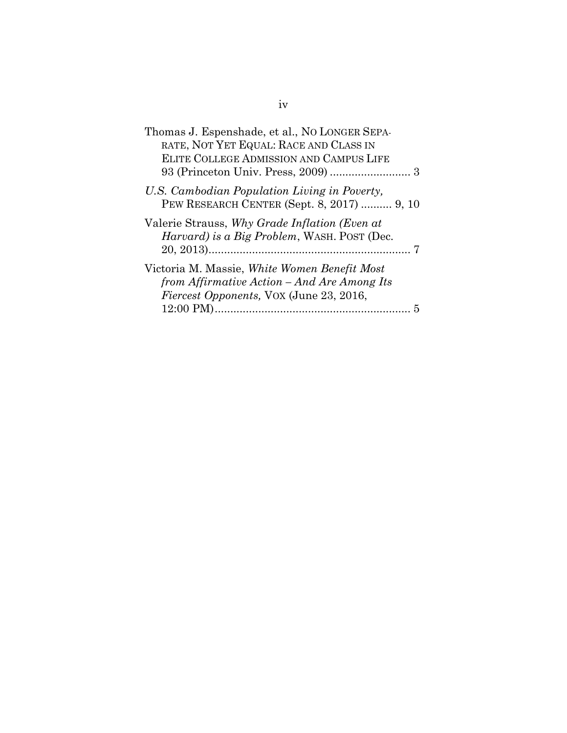| Thomas J. Espenshade, et al., NO LONGER SEPA-<br>RATE, NOT YET EQUAL: RACE AND CLASS IN                                                       |  |
|-----------------------------------------------------------------------------------------------------------------------------------------------|--|
| ELITE COLLEGE ADMISSION AND CAMPUS LIFE                                                                                                       |  |
| U.S. Cambodian Population Living in Poverty,<br>PEW RESEARCH CENTER (Sept. 8, 2017)  9, 10                                                    |  |
| Valerie Strauss, Why Grade Inflation (Even at<br><i>Harvard)</i> is a Big Problem, WASH. POST (Dec.                                           |  |
| Victoria M. Massie, White Women Benefit Most<br>from Affirmative Action – And Are Among Its<br><i>Fiercest Opponents, VOX (June 23, 2016,</i> |  |
|                                                                                                                                               |  |

iv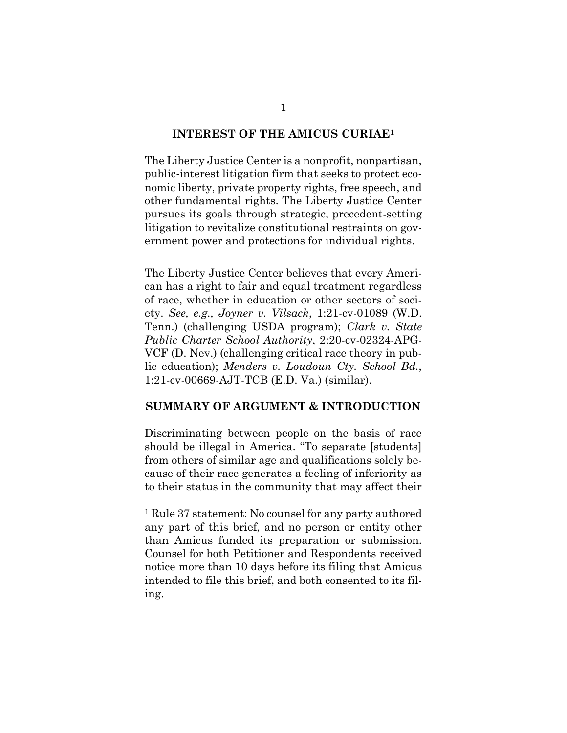#### **INTEREST OF THE AMICUS CURIAE<sup>1</sup>**

The Liberty Justice Center is a nonprofit, nonpartisan, public-interest litigation firm that seeks to protect economic liberty, private property rights, free speech, and other fundamental rights. The Liberty Justice Center pursues its goals through strategic, precedent-setting litigation to revitalize constitutional restraints on government power and protections for individual rights.

The Liberty Justice Center believes that every American has a right to fair and equal treatment regardless of race, whether in education or other sectors of society. *See, e.g., Joyner v. Vilsack*, 1:21-cv-01089 (W.D. Tenn.) (challenging USDA program); *Clark v. State Public Charter School Authority*, 2:20-cv-02324-APG-VCF (D. Nev.) (challenging critical race theory in public education); *Menders v. Loudoun Cty. School Bd.*, 1:21-cv-00669-AJT-TCB (E.D. Va.) (similar).

#### **SUMMARY OF ARGUMENT & INTRODUCTION**

Discriminating between people on the basis of race should be illegal in America. "To separate [students] from others of similar age and qualifications solely because of their race generates a feeling of inferiority as to their status in the community that may affect their

<sup>1</sup> Rule 37 statement: No counsel for any party authored any part of this brief, and no person or entity other than Amicus funded its preparation or submission. Counsel for both Petitioner and Respondents received notice more than 10 days before its filing that Amicus intended to file this brief, and both consented to its filing.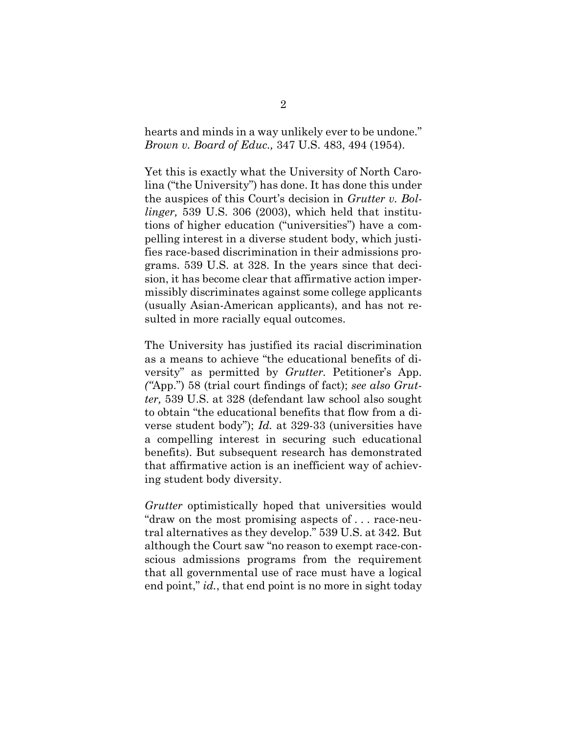hearts and minds in a way unlikely ever to be undone." *Brown v. Board of Educ.,* 347 U.S. 483, 494 (1954).

Yet this is exactly what the University of North Carolina ("the University") has done. It has done this under the auspices of this Court's decision in *Grutter v. Bollinger,* 539 U.S. 306 (2003), which held that institutions of higher education ("universities") have a compelling interest in a diverse student body, which justifies race-based discrimination in their admissions programs. 539 U.S. at 328. In the years since that decision, it has become clear that affirmative action impermissibly discriminates against some college applicants (usually Asian-American applicants), and has not resulted in more racially equal outcomes.

The University has justified its racial discrimination as a means to achieve "the educational benefits of diversity" as permitted by *Grutter.* Petitioner's App. *("*App.") 58 (trial court findings of fact); *see also Grutter,* 539 U.S. at 328 (defendant law school also sought to obtain "the educational benefits that flow from a diverse student body"); *Id.* at 329-33 (universities have a compelling interest in securing such educational benefits). But subsequent research has demonstrated that affirmative action is an inefficient way of achieving student body diversity.

*Grutter* optimistically hoped that universities would "draw on the most promising aspects of . . . race-neutral alternatives as they develop." 539 U.S. at 342. But although the Court saw "no reason to exempt race-conscious admissions programs from the requirement that all governmental use of race must have a logical end point," *id.*, that end point is no more in sight today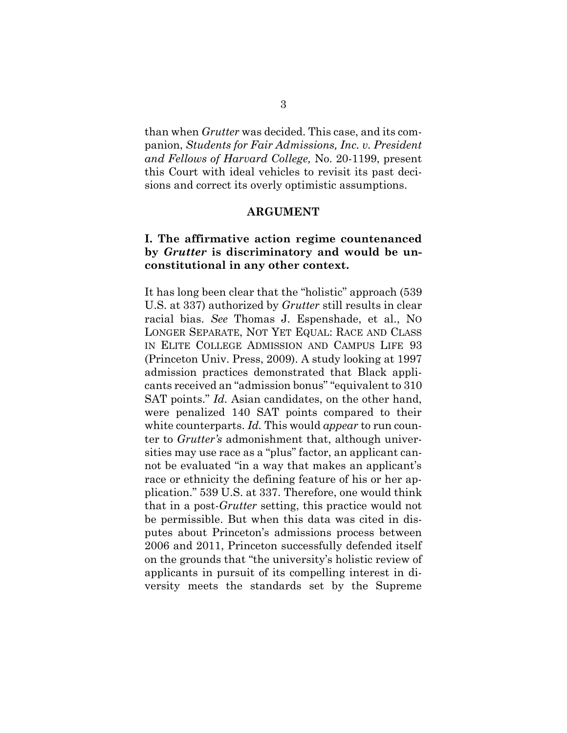than when *Grutter* was decided. This case, and its companion, *Students for Fair Admissions, Inc. v. President and Fellows of Harvard College,* No. 20-1199, present this Court with ideal vehicles to revisit its past decisions and correct its overly optimistic assumptions.

#### **ARGUMENT**

### **I. The affirmative action regime countenanced by** *Grutter* **is discriminatory and would be unconstitutional in any other context.**

It has long been clear that the "holistic" approach (539 U.S. at 337) authorized by *Grutter* still results in clear racial bias. *See* Thomas J. Espenshade, et al., NO LONGER SEPARATE, NOT YET EQUAL: RACE AND CLASS IN ELITE COLLEGE ADMISSION AND CAMPUS LIFE 93 (Princeton Univ. Press, 2009). A study looking at 1997 admission practices demonstrated that Black applicants received an "admission bonus" "equivalent to 310 SAT points." *Id.* Asian candidates, on the other hand, were penalized 140 SAT points compared to their white counterparts. *Id.* This would *appear* to run counter to *Grutter's* admonishment that, although universities may use race as a "plus" factor, an applicant cannot be evaluated "in a way that makes an applicant's race or ethnicity the defining feature of his or her application." 539 U.S. at 337. Therefore, one would think that in a post-*Grutter* setting, this practice would not be permissible. But when this data was cited in disputes about Princeton's admissions process between 2006 and 2011, Princeton successfully defended itself on the grounds that "the university's holistic review of applicants in pursuit of its compelling interest in diversity meets the standards set by the Supreme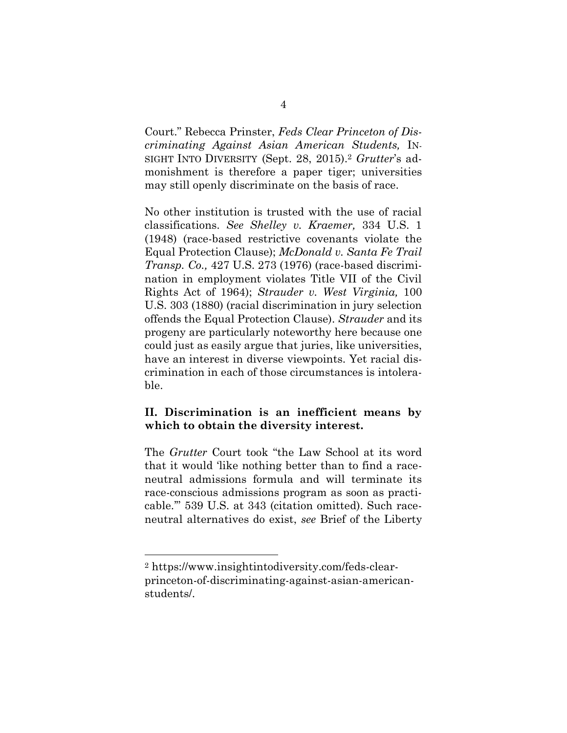Court." Rebecca Prinster, *Feds Clear Princeton of Discriminating Against Asian American Students,* IN-SIGHT INTO DIVERSITY (Sept. 28, 2015).<sup>2</sup> *Grutter*'s admonishment is therefore a paper tiger; universities may still openly discriminate on the basis of race.

No other institution is trusted with the use of racial classifications. *See Shelley v. Kraemer,* 334 U.S. 1 (1948) (race-based restrictive covenants violate the Equal Protection Clause); *McDonald v. Santa Fe Trail Transp. Co.,* 427 U.S. 273 (1976) (race-based discrimination in employment violates Title VII of the Civil Rights Act of 1964); *Strauder v. West Virginia,* 100 U.S. 303 (1880) (racial discrimination in jury selection offends the Equal Protection Clause). *Strauder* and its progeny are particularly noteworthy here because one could just as easily argue that juries, like universities, have an interest in diverse viewpoints. Yet racial discrimination in each of those circumstances is intolerable.

## **II. Discrimination is an inefficient means by which to obtain the diversity interest.**

The *Grutter* Court took "the Law School at its word that it would 'like nothing better than to find a raceneutral admissions formula and will terminate its race-conscious admissions program as soon as practicable.'" 539 U.S. at 343 (citation omitted). Such raceneutral alternatives do exist, *see* Brief of the Liberty

<sup>2</sup> https://www.insightintodiversity.com/feds-clearprinceton-of-discriminating-against-asian-americanstudents/.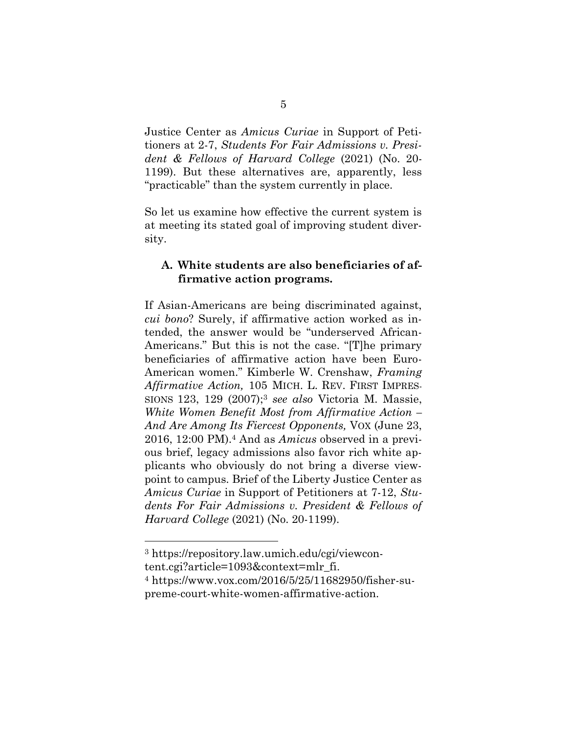Justice Center as *Amicus Curiae* in Support of Petitioners at 2-7, *Students For Fair Admissions v. President & Fellows of Harvard College* (2021) (No. 20- 1199). But these alternatives are, apparently, less "practicable" than the system currently in place.

So let us examine how effective the current system is at meeting its stated goal of improving student diversity.

### **A. White students are also beneficiaries of affirmative action programs.**

If Asian-Americans are being discriminated against, *cui bono*? Surely, if affirmative action worked as intended, the answer would be "underserved African-Americans." But this is not the case. "[T]he primary beneficiaries of affirmative action have been Euro-American women." Kimberle W. Crenshaw, *Framing Affirmative Action,* 105 MICH. L. REV. FIRST IMPRES-SIONS 123, 129 (2007); <sup>3</sup> *see also* Victoria M. Massie, *White Women Benefit Most from Affirmative Action – And Are Among Its Fiercest Opponents,* VOX (June 23, 2016, 12:00 PM).<sup>4</sup> And as *Amicus* observed in a previous brief, legacy admissions also favor rich white applicants who obviously do not bring a diverse viewpoint to campus. Brief of the Liberty Justice Center as *Amicus Curiae* in Support of Petitioners at 7-12, *Students For Fair Admissions v. President & Fellows of Harvard College* (2021) (No. 20-1199).

<sup>3</sup> https://repository.law.umich.edu/cgi/viewcontent.cgi?article=1093&context=mlr\_fi.

<sup>4</sup> https://www.vox.com/2016/5/25/11682950/fisher-supreme-court-white-women-affirmative-action.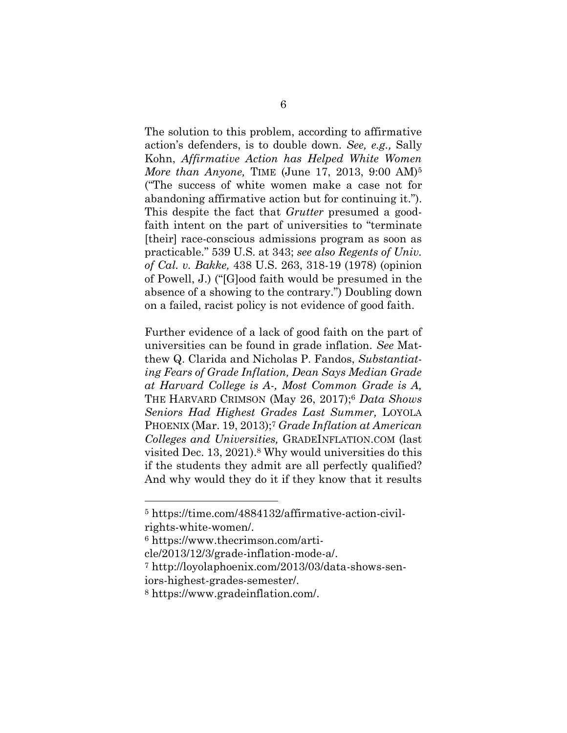The solution to this problem, according to affirmative action's defenders, is to double down. *See, e.g.,* Sally Kohn, *Affirmative Action has Helped White Women More than Anyone,* TIME (June 17, 2013, 9:00 AM)<sup>5</sup> ("The success of white women make a case not for abandoning affirmative action but for continuing it."). This despite the fact that *Grutter* presumed a goodfaith intent on the part of universities to "terminate [their] race-conscious admissions program as soon as practicable." 539 U.S. at 343; *see also Regents of Univ. of Cal. v. Bakke,* 438 U.S. 263, 318-19 (1978) (opinion of Powell, J.) ("[G]ood faith would be presumed in the absence of a showing to the contrary.") Doubling down on a failed, racist policy is not evidence of good faith.

Further evidence of a lack of good faith on the part of universities can be found in grade inflation. *See* Matthew Q. Clarida and Nicholas P. Fandos, *Substantiating Fears of Grade Inflation, Dean Says Median Grade at Harvard College is A-, Most Common Grade is A,*  THE HARVARD CRIMSON (May 26, 2017); <sup>6</sup> *Data Shows Seniors Had Highest Grades Last Summer,* LOYOLA PHOENIX (Mar. 19, 2013); <sup>7</sup> *Grade Inflation at American Colleges and Universities,* GRADEINFLATION.COM (last visited Dec. 13, 2021).<sup>8</sup> Why would universities do this if the students they admit are all perfectly qualified? And why would they do it if they know that it results

<sup>5</sup> https://time.com/4884132/affirmative-action-civilrights-white-women/.

<sup>6</sup> https://www.thecrimson.com/arti-

cle/2013/12/3/grade-inflation-mode-a/.

<sup>7</sup> http://loyolaphoenix.com/2013/03/data-shows-sen-

iors-highest-grades-semester/.

<sup>8</sup> https://www.gradeinflation.com/.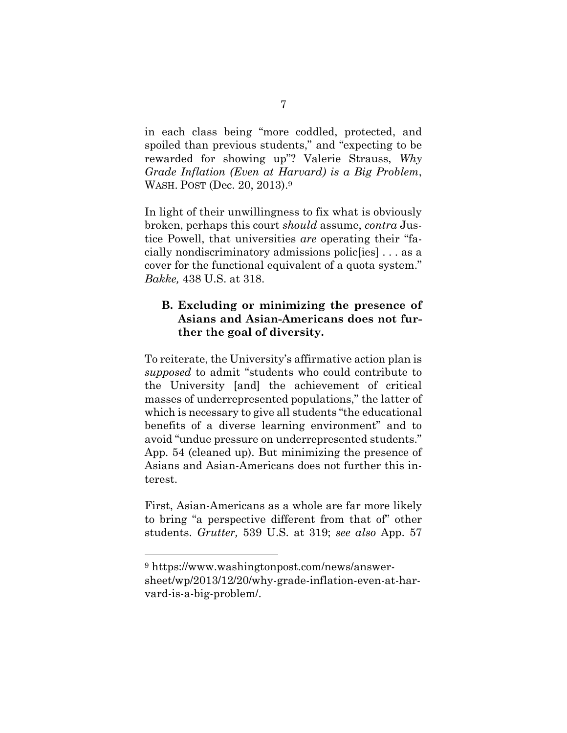in each class being "more coddled, protected, and spoiled than previous students," and "expecting to be rewarded for showing up"? Valerie Strauss, *Why Grade Inflation (Even at Harvard) is a Big Problem*, WASH. POST (Dec. 20, 2013).<sup>9</sup>

In light of their unwillingness to fix what is obviously broken, perhaps this court *should* assume, *contra* Justice Powell, that universities *are* operating their "facially nondiscriminatory admissions polic[ies] . . . as a cover for the functional equivalent of a quota system." *Bakke,* 438 U.S. at 318.

## **B. Excluding or minimizing the presence of Asians and Asian-Americans does not further the goal of diversity.**

To reiterate, the University's affirmative action plan is *supposed* to admit "students who could contribute to the University [and] the achievement of critical masses of underrepresented populations," the latter of which is necessary to give all students "the educational benefits of a diverse learning environment" and to avoid "undue pressure on underrepresented students." App. 54 (cleaned up). But minimizing the presence of Asians and Asian-Americans does not further this interest.

First, Asian-Americans as a whole are far more likely to bring "a perspective different from that of" other students. *Grutter,* 539 U.S. at 319; *see also* App. 57

<sup>9</sup> https://www.washingtonpost.com/news/answersheet/wp/2013/12/20/why-grade-inflation-even-at-harvard-is-a-big-problem/.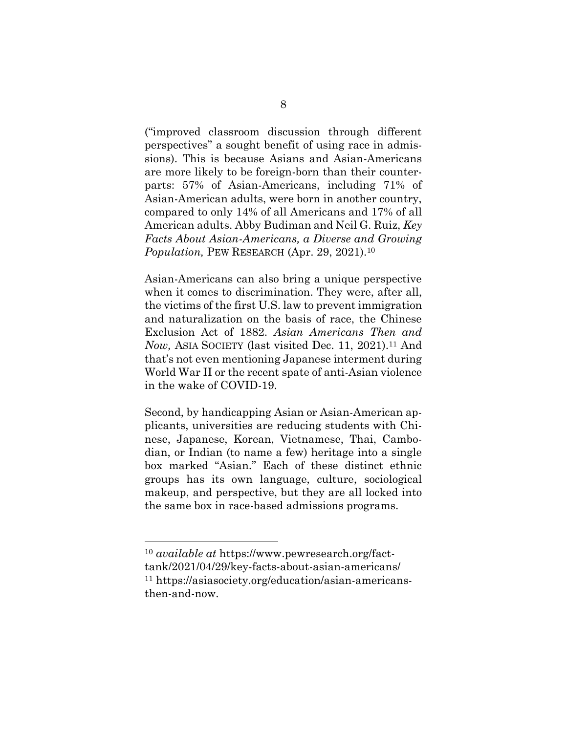("improved classroom discussion through different perspectives" a sought benefit of using race in admissions). This is because Asians and Asian-Americans are more likely to be foreign-born than their counterparts: 57% of Asian-Americans, including 71% of Asian-American adults, were born in another country, compared to only 14% of all Americans and 17% of all American adults. Abby Budiman and Neil G. Ruiz, *Key Facts About Asian-Americans, a Diverse and Growing Population,* PEW RESEARCH (Apr. 29, 2021). 10

Asian-Americans can also bring a unique perspective when it comes to discrimination. They were, after all, the victims of the first U.S. law to prevent immigration and naturalization on the basis of race, the Chinese Exclusion Act of 1882. *Asian Americans Then and Now, ASIA SOCIETY (last visited Dec. 11, 2021).*<sup>11</sup> And that's not even mentioning Japanese interment during World War II or the recent spate of anti-Asian violence in the wake of COVID-19.

Second, by handicapping Asian or Asian-American applicants, universities are reducing students with Chinese, Japanese, Korean, Vietnamese, Thai, Cambodian, or Indian (to name a few) heritage into a single box marked "Asian." Each of these distinct ethnic groups has its own language, culture, sociological makeup, and perspective, but they are all locked into the same box in race-based admissions programs.

<sup>10</sup> *available at* https://www.pewresearch.org/facttank/2021/04/29/key-facts-about-asian-americans/ <sup>11</sup> https://asiasociety.org/education/asian-americansthen-and-now.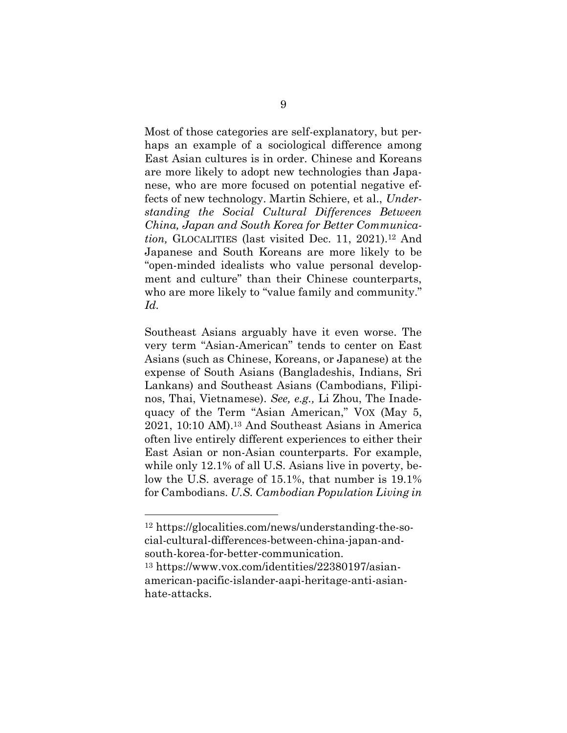Most of those categories are self-explanatory, but perhaps an example of a sociological difference among East Asian cultures is in order. Chinese and Koreans are more likely to adopt new technologies than Japanese, who are more focused on potential negative effects of new technology. Martin Schiere, et al., *Understanding the Social Cultural Differences Between China, Japan and South Korea for Better Communication,* GLOCALITIES (last visited Dec. 11, 2021).<sup>12</sup> And Japanese and South Koreans are more likely to be "open-minded idealists who value personal development and culture" than their Chinese counterparts, who are more likely to "value family and community." *Id.* 

Southeast Asians arguably have it even worse. The very term "Asian-American" tends to center on East Asians (such as Chinese, Koreans, or Japanese) at the expense of South Asians (Bangladeshis, Indians, Sri Lankans) and Southeast Asians (Cambodians, Filipinos, Thai, Vietnamese). *See, e.g.,* Li Zhou, The Inadequacy of the Term "Asian American," VOX (May 5, 2021, 10:10 AM). <sup>13</sup> And Southeast Asians in America often live entirely different experiences to either their East Asian or non-Asian counterparts. For example, while only 12.1% of all U.S. Asians live in poverty, below the U.S. average of 15.1%, that number is 19.1% for Cambodians. *U.S. Cambodian Population Living in* 

<sup>12</sup> https://glocalities.com/news/understanding-the-social-cultural-differences-between-china-japan-andsouth-korea-for-better-communication.

<sup>13</sup> https://www.vox.com/identities/22380197/asianamerican-pacific-islander-aapi-heritage-anti-asianhate-attacks.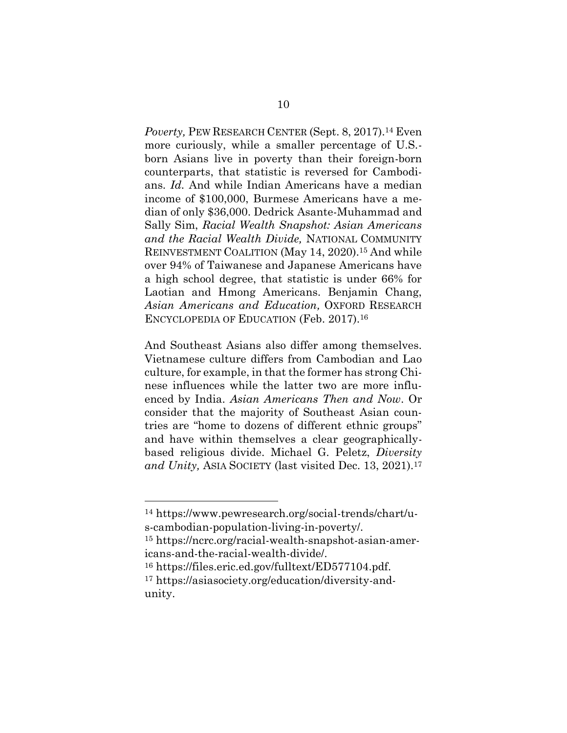Poverty, PEW RESEARCH CENTER (Sept. 8, 2017).<sup>14</sup> Even more curiously, while a smaller percentage of U.S. born Asians live in poverty than their foreign-born counterparts, that statistic is reversed for Cambodians. *Id.* And while Indian Americans have a median income of \$100,000, Burmese Americans have a median of only \$36,000. Dedrick Asante-Muhammad and Sally Sim, *Racial Wealth Snapshot: Asian Americans and the Racial Wealth Divide,* NATIONAL COMMUNITY REINVESTMENT COALITION (May 14, 2020).<sup>15</sup> And while over 94% of Taiwanese and Japanese Americans have a high school degree, that statistic is under 66% for Laotian and Hmong Americans. Benjamin Chang, *Asian Americans and Education,* OXFORD RESEARCH ENCYCLOPEDIA OF EDUCATION (Feb. 2017).<sup>16</sup>

And Southeast Asians also differ among themselves. Vietnamese culture differs from Cambodian and Lao culture, for example, in that the former has strong Chinese influences while the latter two are more influenced by India. *Asian Americans Then and Now*. Or consider that the majority of Southeast Asian countries are "home to dozens of different ethnic groups" and have within themselves a clear geographicallybased religious divide. Michael G. Peletz, *Diversity and Unity,* ASIA SOCIETY (last visited Dec. 13, 2021).<sup>17</sup>

<sup>14</sup> https://www.pewresearch.org/social-trends/chart/us-cambodian-population-living-in-poverty/.

<sup>15</sup> https://ncrc.org/racial-wealth-snapshot-asian-americans-and-the-racial-wealth-divide/.

<sup>16</sup> https://files.eric.ed.gov/fulltext/ED577104.pdf.

<sup>17</sup> https://asiasociety.org/education/diversity-andunity.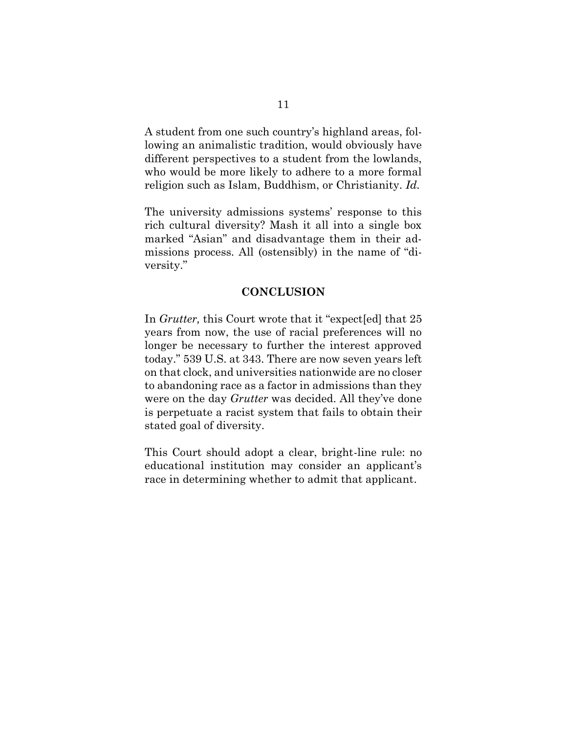A student from one such country's highland areas, following an animalistic tradition, would obviously have different perspectives to a student from the lowlands, who would be more likely to adhere to a more formal religion such as Islam, Buddhism, or Christianity. *Id.* 

The university admissions systems' response to this rich cultural diversity? Mash it all into a single box marked "Asian" and disadvantage them in their admissions process. All (ostensibly) in the name of "diversity."

#### **CONCLUSION**

In *Grutter,* this Court wrote that it "expect[ed] that 25 years from now, the use of racial preferences will no longer be necessary to further the interest approved today." 539 U.S. at 343. There are now seven years left on that clock, and universities nationwide are no closer to abandoning race as a factor in admissions than they were on the day *Grutter* was decided. All they've done is perpetuate a racist system that fails to obtain their stated goal of diversity.

This Court should adopt a clear, bright-line rule: no educational institution may consider an applicant's race in determining whether to admit that applicant.